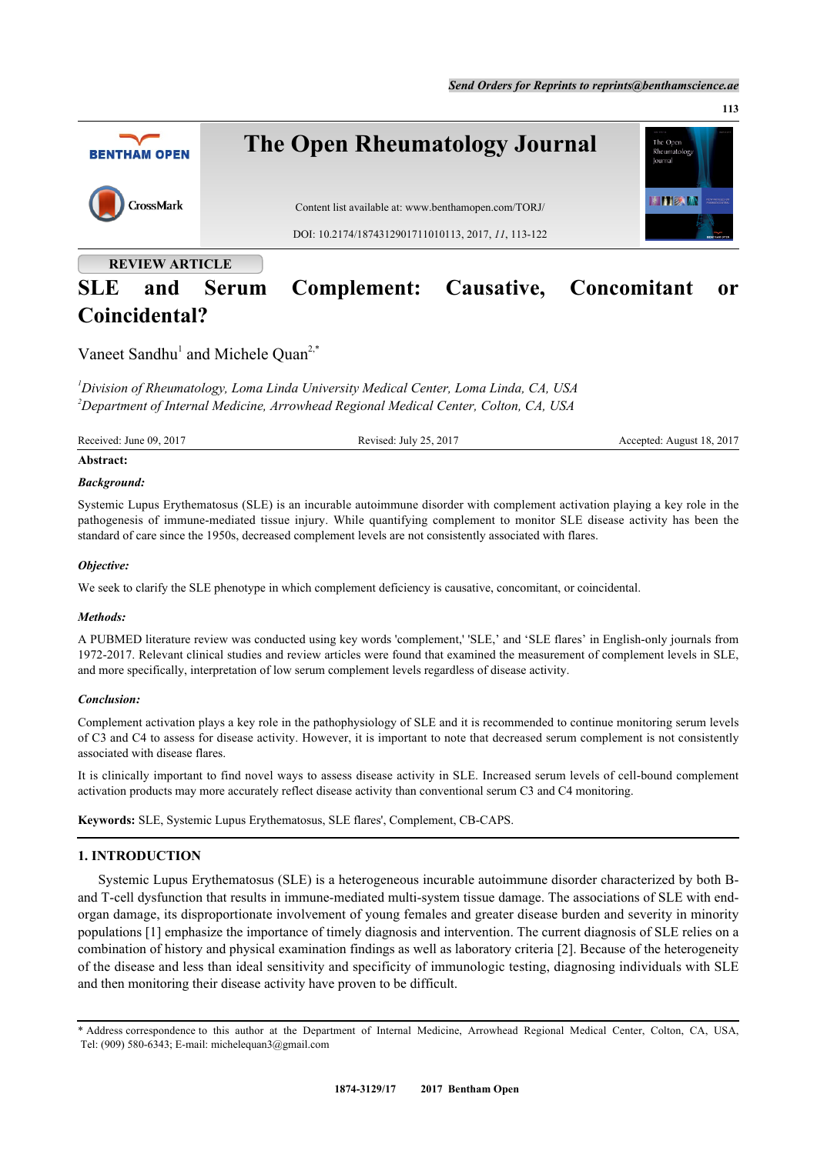

# **SLE and Serum Complement: Causative, Concomitant or Coincidental?**

Vaneet Sandhu<sup>[1](#page-0-0)</sup> and Michele Quan<sup>[2,](#page-0-1)[\\*](#page-0-2)</sup>

<span id="page-0-1"></span><span id="page-0-0"></span>*<sup>1</sup>Division of Rheumatology, Loma Linda University Medical Center, Loma Linda, CA, USA <sup>2</sup>Department of Internal Medicine, Arrowhead Regional Medical Center, Colton, CA, USA*

Received: June 09, 2017 Revised: July 25, 2017 Accepted: August 18, 2017

#### **Abstract:**

# *Background:*

Systemic Lupus Erythematosus (SLE) is an incurable autoimmune disorder with complement activation playing a key role in the pathogenesis of immune-mediated tissue injury. While quantifying complement to monitor SLE disease activity has been the standard of care since the 1950s, decreased complement levels are not consistently associated with flares.

# *Objective:*

We seek to clarify the SLE phenotype in which complement deficiency is causative, concomitant, or coincidental.

# *Methods:*

A PUBMED literature review was conducted using key words 'complement,' 'SLE,' and 'SLE flares' in English-only journals from 1972-2017. Relevant clinical studies and review articles were found that examined the measurement of complement levels in SLE, and more specifically, interpretation of low serum complement levels regardless of disease activity.

# *Conclusion:*

Complement activation plays a key role in the pathophysiology of SLE and it is recommended to continue monitoring serum levels of C3 and C4 to assess for disease activity. However, it is important to note that decreased serum complement is not consistently associated with disease flares.

It is clinically important to find novel ways to assess disease activity in SLE. Increased serum levels of cell-bound complement activation products may more accurately reflect disease activity than conventional serum C3 and C4 monitoring.

**Keywords:** SLE, Systemic Lupus Erythematosus, SLE flares', Complement, CB-CAPS.

# **1. INTRODUCTION**

Systemic Lupus Erythematosus (SLE) is a heterogeneous incurable autoimmune disorder characterized by both Band T-cell dysfunction that results in immune-mediated multi-system tissue damage. The associations of SLE with endorgan damage, its disproportionate involvement of young females and greater disease burden and severity in minority populations [\[1](#page-6-0)] emphasize the importance of timely diagnosis and intervention. The current diagnosis of SLE relies on a combination of history and physical examination findings as well as laboratory criteria [\[2](#page-6-1)]. Because of the heterogeneity of the disease and less than ideal sensitivity and specificity of immunologic testing, diagnosing individuals with SLE and then monitoring their disease activity have proven to be difficult.

<span id="page-0-2"></span>\* Address correspondence to this author at the Department of Internal Medicine, Arrowhead Regional Medical Center, Colton, CA, USA, Tel: (909) 580-6343; E-mail: [michelequan3@gmail.com](mailto:michelequan3@gmail.com)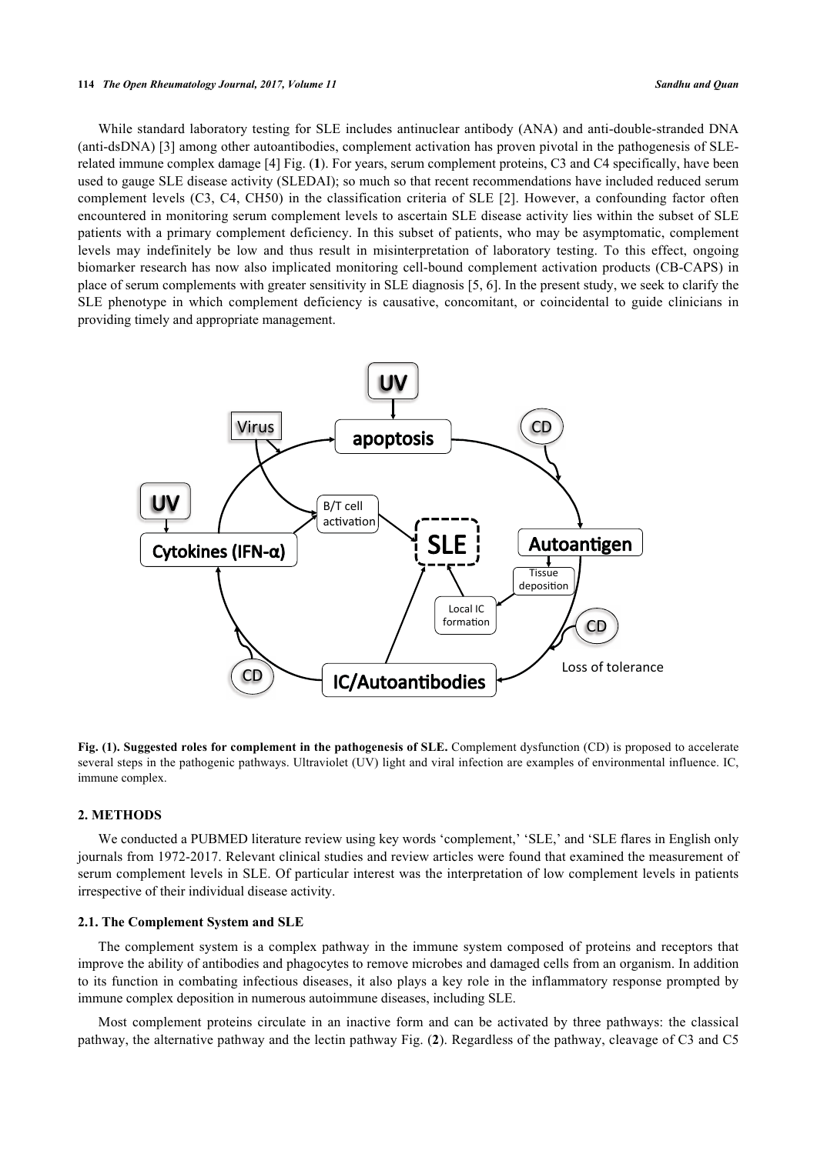#### **114** *The Open Rheumatology Journal, 2017, Volume 11 Sandhu and Quan*

While standard laboratory testing for SLE includes antinuclear antibody (ANA) and anti-double-stranded DNA (anti-dsDNA) [\[3](#page-6-2)] among other autoantibodies, complement activation has proven pivotal in the pathogenesis of SLErelated immune complex damage [\[4](#page-6-3)] Fig. (**[1](#page-1-0)**). For years, serum complement proteins, C3 and C4 specifically, have been used to gauge SLE disease activity (SLEDAI); so much so that recent recommendations have included reduced serum complement levels (C3, C4, CH50) in the classification criteria of SLE [\[2](#page-6-1)]. However, a confounding factor often encountered in monitoring serum complement levels to ascertain SLE disease activity lies within the subset of SLE patients with a primary complement deficiency. In this subset of patients, who may be asymptomatic, complement levels may indefinitely be low and thus result in misinterpretation of laboratory testing. To this effect, ongoing biomarker research has now also implicated monitoring cell-bound complement activation products (CB-CAPS) in place of serum complements with greater sensitivity in SLE diagnosis [\[5](#page-6-4), [6\]](#page-6-5). In the present study, we seek to clarify the SLE phenotype in which complement deficiency is causative, concomitant, or coincidental to guide clinicians in providing timely and appropriate management.

<span id="page-1-0"></span>

**Fig. (1). Suggested roles for complement in the pathogenesis of SLE.** Complement dysfunction (CD) is proposed to accelerate several steps in the pathogenic pathways. Ultraviolet (UV) light and viral infection are examples of environmental influence. IC, immune complex.

# **2. METHODS**

We conducted a PUBMED literature review using key words 'complement,' 'SLE,' and 'SLE flares in English only journals from 1972-2017. Relevant clinical studies and review articles were found that examined the measurement of serum complement levels in SLE. Of particular interest was the interpretation of low complement levels in patients irrespective of their individual disease activity.

# **2.1. The Complement System and SLE**

The complement system is a complex pathway in the immune system composed of proteins and receptors that improve the ability of antibodies and phagocytes to remove microbes and damaged cells from an organism. In addition to its function in combating infectious diseases, it also plays a key role in the inflammatory response prompted by immune complex deposition in numerous autoimmune diseases, including SLE.

Most complement proteins circulate in an inactive form and can be activated by three pathways: the classical pathway, the alternative pathway and the lectin pathway Fig. (**[2](#page-5-0)**). Regardless of the pathway, cleavage of C3 and C5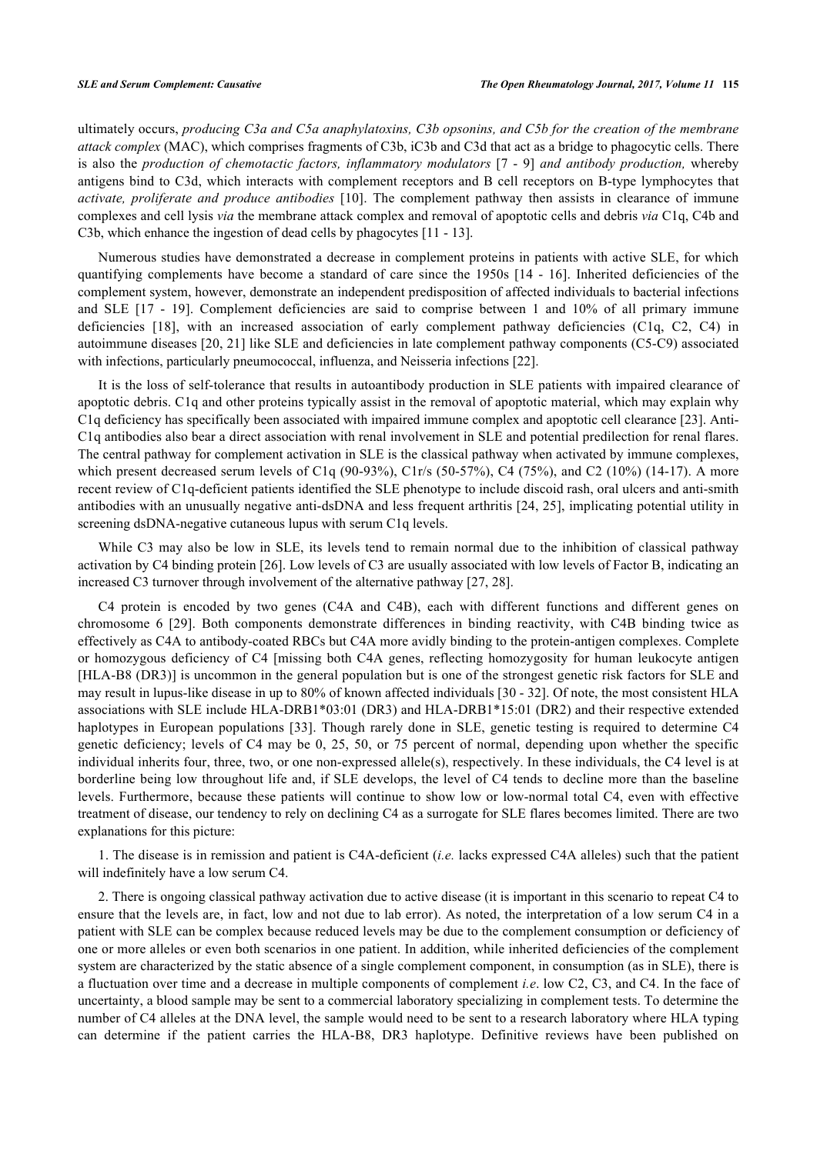ultimately occurs, *producing C3a and C5a anaphylatoxins, C3b opsonins, and C5b for the creation of the membrane attack complex* (MAC), which comprises fragments of C3b, iC3b and C3d that act as a bridge to phagocytic cells. There is also the *production of chemotactic factors, inflammatory modulators* [\[7](#page-6-6) - [9](#page-7-0)] *and antibody production,* whereby antigens bind to C3d, which interacts with complement receptors and B cell receptors on B-type lymphocytes that *activate, proliferate and produce antibodies* [\[10\]](#page-7-1). The complement pathway then assists in clearance of immune complexes and cell lysis *via* the membrane attack complex and removal of apoptotic cells and debris *via* C1q, C4b and C3b, which enhance the ingestion of dead cells by phagocytes [[11](#page-7-2) - [13](#page-7-3)].

Numerous studies have demonstrated a decrease in complement proteins in patients with active SLE, for which quantifying complements have become a standard of care since the 1950s [\[14](#page-7-4) - [16](#page-7-5)]. Inherited deficiencies of the complement system, however, demonstrate an independent predisposition of affected individuals to bacterial infections and SLE [\[17](#page-7-6) - [19](#page-7-7)]. Complement deficiencies are said to comprise between 1 and 10% of all primary immune deficiencies[[18\]](#page-7-8), with an increased association of early complement pathway deficiencies (C1q, C2, C4) in autoimmune diseases [[20,](#page-7-9) [21\]](#page-7-10) like SLE and deficiencies in late complement pathway components (C5-C9) associated with infections, particularly pneumococcal, influenza, and Neisseria infections [[22\]](#page-7-11).

It is the loss of self-tolerance that results in autoantibody production in SLE patients with impaired clearance of apoptotic debris. C1q and other proteins typically assist in the removal of apoptotic material, which may explain why C1q deficiency has specifically been associated with impaired immune complex and apoptotic cell clearance [[23](#page-7-12)]. Anti-C1q antibodies also bear a direct association with renal involvement in SLE and potential predilection for renal flares. The central pathway for complement activation in SLE is the classical pathway when activated by immune complexes, which present decreased serum levels of C1q (90-93%), C1r/s (50-57%), C4 (75%), and C2 (10%) (14-17). A more recent review of C1q-deficient patients identified the SLE phenotype to include discoid rash, oral ulcers and anti-smith antibodies with an unusually negative anti-dsDNA and less frequent arthritis [[24](#page-7-13), [25\]](#page-7-14), implicating potential utility in screening dsDNA-negative cutaneous lupus with serum C1q levels.

While C3 may also be low in SLE, its levels tend to remain normal due to the inhibition of classical pathway activation by C4 binding protein [[26\]](#page-7-15). Low levels of C3 are usually associated with low levels of Factor B, indicating an increased C3 turnover through involvement of the alternative pathway [[27,](#page-7-16) [28\]](#page-7-17).

C4 protein is encoded by two genes (C4A and C4B), each with different functions and different genes on chromosome 6[[29\]](#page-7-18). Both components demonstrate differences in binding reactivity, with C4B binding twice as effectively as C4A to antibody-coated RBCs but C4A more avidly binding to the protein-antigen complexes. Complete or homozygous deficiency of C4 [missing both C4A genes, reflecting homozygosity for human leukocyte antigen [HLA-B8 (DR3)] is uncommon in the general population but is one of the strongest genetic risk factors for SLE and may result in lupus-like disease in up to 80% of known affected individuals [\[30](#page-8-0) - [32\]](#page-8-1). Of note, the most consistent HLA associations with SLE include HLA-DRB1\*03:01 (DR3) and HLA-DRB1\*15:01 (DR2) and their respective extended haplotypes in European populations [\[33\]](#page-8-2). Though rarely done in SLE, genetic testing is required to determine C4 genetic deficiency; levels of C4 may be 0, 25, 50, or 75 percent of normal, depending upon whether the specific individual inherits four, three, two, or one non-expressed allele(s), respectively. In these individuals, the C4 level is at borderline being low throughout life and, if SLE develops, the level of C4 tends to decline more than the baseline levels. Furthermore, because these patients will continue to show low or low-normal total C4, even with effective treatment of disease, our tendency to rely on declining C4 as a surrogate for SLE flares becomes limited. There are two explanations for this picture:

1. The disease is in remission and patient is C4A-deficient (*i.e.* lacks expressed C4A alleles) such that the patient will indefinitely have a low serum C4.

2. There is ongoing classical pathway activation due to active disease (it is important in this scenario to repeat C4 to ensure that the levels are, in fact, low and not due to lab error). As noted, the interpretation of a low serum C4 in a patient with SLE can be complex because reduced levels may be due to the complement consumption or deficiency of one or more alleles or even both scenarios in one patient. In addition, while inherited deficiencies of the complement system are characterized by the static absence of a single complement component, in consumption (as in SLE), there is a fluctuation over time and a decrease in multiple components of complement *i.e*. low C2, C3, and C4. In the face of uncertainty, a blood sample may be sent to a commercial laboratory specializing in complement tests. To determine the number of C4 alleles at the DNA level, the sample would need to be sent to a research laboratory where HLA typing can determine if the patient carries the HLA-B8, DR3 haplotype. Definitive reviews have been published on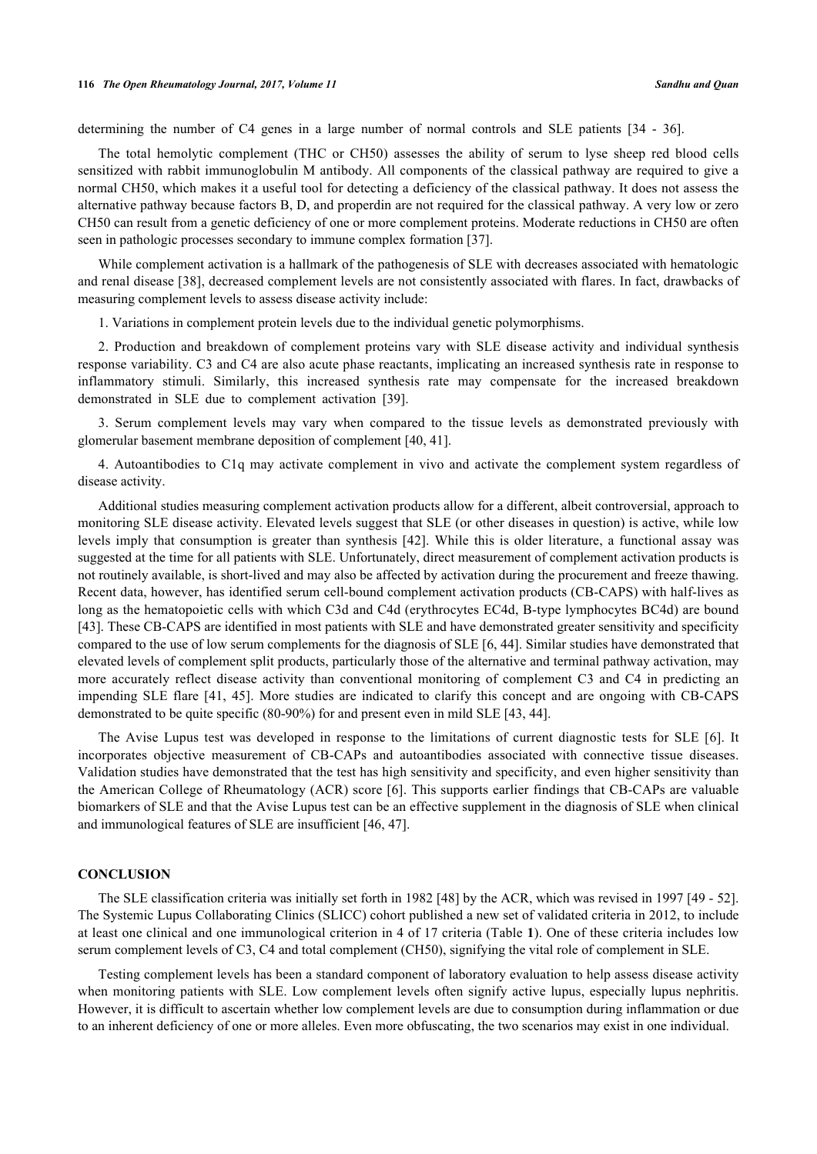determining the number of C4 genes in a large number of normal controls and SLE patients[[34](#page-8-3) - [36](#page-8-4)].

The total hemolytic complement (THC or CH50) assesses the ability of serum to lyse sheep red blood cells sensitized with rabbit immunoglobulin M antibody. All components of the classical pathway are required to give a normal CH50, which makes it a useful tool for detecting a deficiency of the classical pathway. It does not assess the alternative pathway because factors B, D, and properdin are not required for the classical pathway. A very low or zero CH50 can result from a genetic deficiency of one or more complement proteins. Moderate reductions in CH50 are often seen in pathologic processes secondary to immune complex formation [[37\]](#page-8-5).

While complement activation is a hallmark of the pathogenesis of SLE with decreases associated with hematologic and renal disease [\[38](#page-8-6)], decreased complement levels are not consistently associated with flares. In fact, drawbacks of measuring complement levels to assess disease activity include:

1. Variations in complement protein levels due to the individual genetic polymorphisms.

2. Production and breakdown of complement proteins vary with SLE disease activity and individual synthesis response variability. C3 and C4 are also acute phase reactants, implicating an increased synthesis rate in response to inflammatory stimuli. Similarly, this increased synthesis rate may compensate for the increased breakdown demonstrated in SLE due to complement activation [\[39](#page-8-7)].

3. Serum complement levels may vary when compared to the tissue levels as demonstrated previously with glomerular basement membrane deposition of complement [\[40](#page-8-8), [41](#page-8-9)].

4. Autoantibodies to C1q may activate complement in vivo and activate the complement system regardless of disease activity.

Additional studies measuring complement activation products allow for a different, albeit controversial, approach to monitoring SLE disease activity. Elevated levels suggest that SLE (or other diseases in question) is active, while low levels imply that consumption is greater than synthesis [[42](#page-8-10)]. While this is older literature, a functional assay was suggested at the time for all patients with SLE. Unfortunately, direct measurement of complement activation products is not routinely available, is short-lived and may also be affected by activation during the procurement and freeze thawing. Recent data, however, has identified serum cell-bound complement activation products (CB-CAPS) with half-lives as long as the hematopoietic cells with which C3d and C4d (erythrocytes EC4d, B-type lymphocytes BC4d) are bound [\[43](#page-8-11)]. These CB-CAPS are identified in most patients with SLE and have demonstrated greater sensitivity and specificity compared to the use of low serum complements for the diagnosis of SLE [[6,](#page-6-5) [44\]](#page-8-12). Similar studies have demonstrated that elevated levels of complement split products, particularly those of the alternative and terminal pathway activation, may more accurately reflect disease activity than conventional monitoring of complement C3 and C4 in predicting an impending SLE flare [\[41](#page-8-9), [45](#page-8-13)]. More studies are indicated to clarify this concept and are ongoing with CB-CAPS demonstrated to be quite specific (80-90%) for and present even in mild SLE [[43,](#page-8-11) [44\]](#page-8-12).

The Avise Lupus test was developed in response to the limitations of current diagnostic tests for SLE[[6](#page-6-5)]. It incorporates objective measurement of CB-CAPs and autoantibodies associated with connective tissue diseases. Validation studies have demonstrated that the test has high sensitivity and specificity, and even higher sensitivity than the American College of Rheumatology (ACR) score [\[6\]](#page-6-5). This supports earlier findings that CB-CAPs are valuable biomarkers of SLE and that the Avise Lupus test can be an effective supplement in the diagnosis of SLE when clinical and immunological features of SLE are insufficient [\[46](#page-8-14), [47](#page-8-15)].

#### **CONCLUSION**

The SLE classification criteria was initially set forth in 1982 [[48\]](#page-8-16) by the ACR, which was revised in 1997 [\[49](#page-8-17) - [52\]](#page-9-0). The Systemic Lupus Collaborating Clinics (SLICC) cohort published a new set of validated criteria in 2012, to include at least one clinical and one immunological criterion in 4 of 17 criteria (Table **[1](#page-4-0)**). One of these criteria includes low serum complement levels of C3, C4 and total complement (CH50), signifying the vital role of complement in SLE.

Testing complement levels has been a standard component of laboratory evaluation to help assess disease activity when monitoring patients with SLE. Low complement levels often signify active lupus, especially lupus nephritis. However, it is difficult to ascertain whether low complement levels are due to consumption during inflammation or due to an inherent deficiency of one or more alleles. Even more obfuscating, the two scenarios may exist in one individual.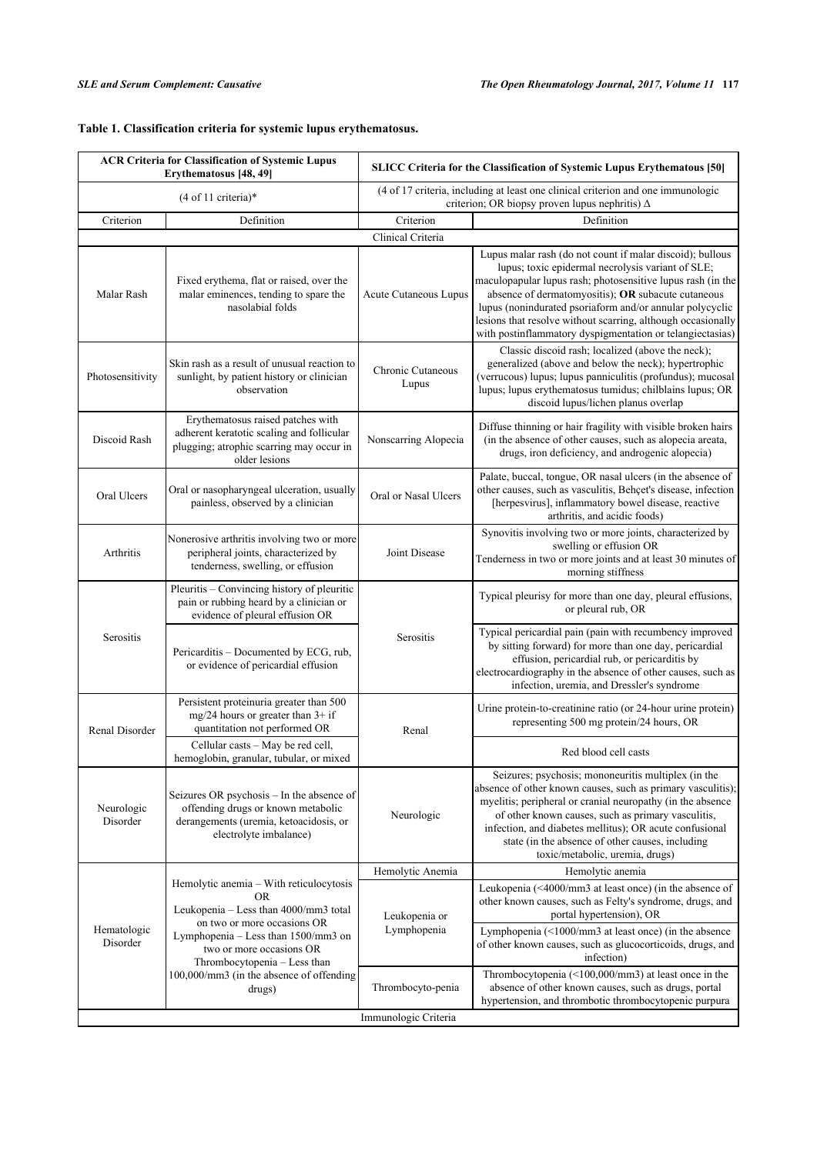| <b>ACR Criteria for Classification of Systemic Lupus</b><br>Erythematosus [48, 49] |                                                                                                                                                                                                                                                                                 | <b>SLICC Criteria for the Classification of Systemic Lupus Erythematous [50]</b>                                                          |                                                                                                                                                                                                                                                                                                                                                                                                                              |  |
|------------------------------------------------------------------------------------|---------------------------------------------------------------------------------------------------------------------------------------------------------------------------------------------------------------------------------------------------------------------------------|-------------------------------------------------------------------------------------------------------------------------------------------|------------------------------------------------------------------------------------------------------------------------------------------------------------------------------------------------------------------------------------------------------------------------------------------------------------------------------------------------------------------------------------------------------------------------------|--|
| (4 of 11 criteria)*                                                                |                                                                                                                                                                                                                                                                                 | (4 of 17 criteria, including at least one clinical criterion and one immunologic<br>criterion; OR biopsy proven lupus nephritis) $\Delta$ |                                                                                                                                                                                                                                                                                                                                                                                                                              |  |
| Criterion                                                                          | Definition                                                                                                                                                                                                                                                                      | Criterion                                                                                                                                 | Definition                                                                                                                                                                                                                                                                                                                                                                                                                   |  |
|                                                                                    |                                                                                                                                                                                                                                                                                 | Clinical Criteria                                                                                                                         |                                                                                                                                                                                                                                                                                                                                                                                                                              |  |
| Malar Rash                                                                         | Fixed erythema, flat or raised, over the<br>malar eminences, tending to spare the<br>nasolabial folds                                                                                                                                                                           | Acute Cutaneous Lupus                                                                                                                     | Lupus malar rash (do not count if malar discoid); bullous<br>lupus; toxic epidermal necrolysis variant of SLE;<br>maculopapular lupus rash; photosensitive lupus rash (in the<br>absence of dermatomyositis); OR subacute cutaneous<br>lupus (nonindurated psoriaform and/or annular polycyclic<br>lesions that resolve without scarring, although occasionally<br>with postinflammatory dyspigmentation or telangiectasias) |  |
| Photosensitivity                                                                   | Skin rash as a result of unusual reaction to<br>sunlight, by patient history or clinician<br>observation                                                                                                                                                                        | Chronic Cutaneous<br>Lupus                                                                                                                | Classic discoid rash; localized (above the neck);<br>generalized (above and below the neck); hypertrophic<br>(verrucous) lupus; lupus panniculitis (profundus); mucosal<br>lupus; lupus erythematosus tumidus; chilblains lupus; OR<br>discoid lupus/lichen planus overlap                                                                                                                                                   |  |
| Discoid Rash                                                                       | Erythematosus raised patches with<br>adherent keratotic scaling and follicular<br>plugging; atrophic scarring may occur in<br>older lesions                                                                                                                                     | Nonscarring Alopecia                                                                                                                      | Diffuse thinning or hair fragility with visible broken hairs<br>(in the absence of other causes, such as alopecia areata,<br>drugs, iron deficiency, and androgenic alopecia)                                                                                                                                                                                                                                                |  |
| Oral Ulcers                                                                        | Oral or nasopharyngeal ulceration, usually<br>painless, observed by a clinician                                                                                                                                                                                                 | Oral or Nasal Ulcers                                                                                                                      | Palate, buccal, tongue, OR nasal ulcers (in the absence of<br>other causes, such as vasculitis, Behçet's disease, infection<br>[herpesvirus], inflammatory bowel disease, reactive<br>arthritis, and acidic foods)                                                                                                                                                                                                           |  |
| Arthritis                                                                          | Nonerosive arthritis involving two or more<br>peripheral joints, characterized by<br>tenderness, swelling, or effusion                                                                                                                                                          | Joint Disease                                                                                                                             | Synovitis involving two or more joints, characterized by<br>swelling or effusion OR<br>Tenderness in two or more joints and at least 30 minutes of<br>morning stiffness                                                                                                                                                                                                                                                      |  |
| Serositis                                                                          | Pleuritis - Convincing history of pleuritic<br>pain or rubbing heard by a clinician or<br>evidence of pleural effusion OR                                                                                                                                                       | Serositis                                                                                                                                 | Typical pleurisy for more than one day, pleural effusions,<br>or pleural rub, OR                                                                                                                                                                                                                                                                                                                                             |  |
|                                                                                    | Pericarditis – Documented by ECG, rub,<br>or evidence of pericardial effusion                                                                                                                                                                                                   |                                                                                                                                           | Typical pericardial pain (pain with recumbency improved<br>by sitting forward) for more than one day, pericardial<br>effusion, pericardial rub, or pericarditis by<br>electrocardiography in the absence of other causes, such as<br>infection, uremia, and Dressler's syndrome                                                                                                                                              |  |
| Renal Disorder                                                                     | Persistent proteinuria greater than 500<br>$mg/24$ hours or greater than $3+$ if<br>quantitation not performed OR                                                                                                                                                               | Renal                                                                                                                                     | Urine protein-to-creatinine ratio (or 24-hour urine protein)<br>representing 500 mg protein/24 hours, OR                                                                                                                                                                                                                                                                                                                     |  |
|                                                                                    | Cellular casts - May be red cell,<br>hemoglobin, granular, tubular, or mixed                                                                                                                                                                                                    |                                                                                                                                           | Red blood cell casts                                                                                                                                                                                                                                                                                                                                                                                                         |  |
| Neurologic<br>Disorder                                                             | Seizures OR psychosis – In the absence of<br>offending drugs or known metabolic<br>derangements (uremia, ketoacidosis, or<br>electrolyte imbalance)                                                                                                                             | Neurologic                                                                                                                                | Seizures; psychosis; mononeuritis multiplex (in the<br>absence of other known causes, such as primary vasculitis);<br>myelitis; peripheral or cranial neuropathy (in the absence<br>of other known causes, such as primary vasculitis,<br>infection, and diabetes mellitus); OR acute confusional<br>state (in the absence of other causes, including<br>toxic/metabolic, uremia, drugs)                                     |  |
| Hematologic<br>Disorder                                                            | Hemolytic anemia - With reticulocytosis<br>OR.<br>Leukopenia - Less than 4000/mm3 total<br>on two or more occasions OR<br>Lymphopenia - Less than 1500/mm3 on<br>two or more occasions OR<br>Thrombocytopenia - Less than<br>100,000/mm3 (in the absence of offending<br>drugs) | Hemolytic Anemia                                                                                                                          | Hemolytic anemia                                                                                                                                                                                                                                                                                                                                                                                                             |  |
|                                                                                    |                                                                                                                                                                                                                                                                                 | Leukopenia or<br>Lymphopenia                                                                                                              | Leukopenia $(\leq 4000/\text{mm}3$ at least once) (in the absence of<br>other known causes, such as Felty's syndrome, drugs, and<br>portal hypertension), OR                                                                                                                                                                                                                                                                 |  |
|                                                                                    |                                                                                                                                                                                                                                                                                 |                                                                                                                                           | Lymphopenia (<1000/mm3 at least once) (in the absence<br>of other known causes, such as glucocorticoids, drugs, and<br>infection)                                                                                                                                                                                                                                                                                            |  |
|                                                                                    |                                                                                                                                                                                                                                                                                 | Thrombocyto-penia                                                                                                                         | Thrombocytopenia (<100,000/mm3) at least once in the<br>absence of other known causes, such as drugs, portal<br>hypertension, and thrombotic thrombocytopenic purpura                                                                                                                                                                                                                                                        |  |
| Immunologic Criteria                                                               |                                                                                                                                                                                                                                                                                 |                                                                                                                                           |                                                                                                                                                                                                                                                                                                                                                                                                                              |  |

# <span id="page-4-0"></span>**Table 1. Classification criteria for systemic lupus erythematosus.**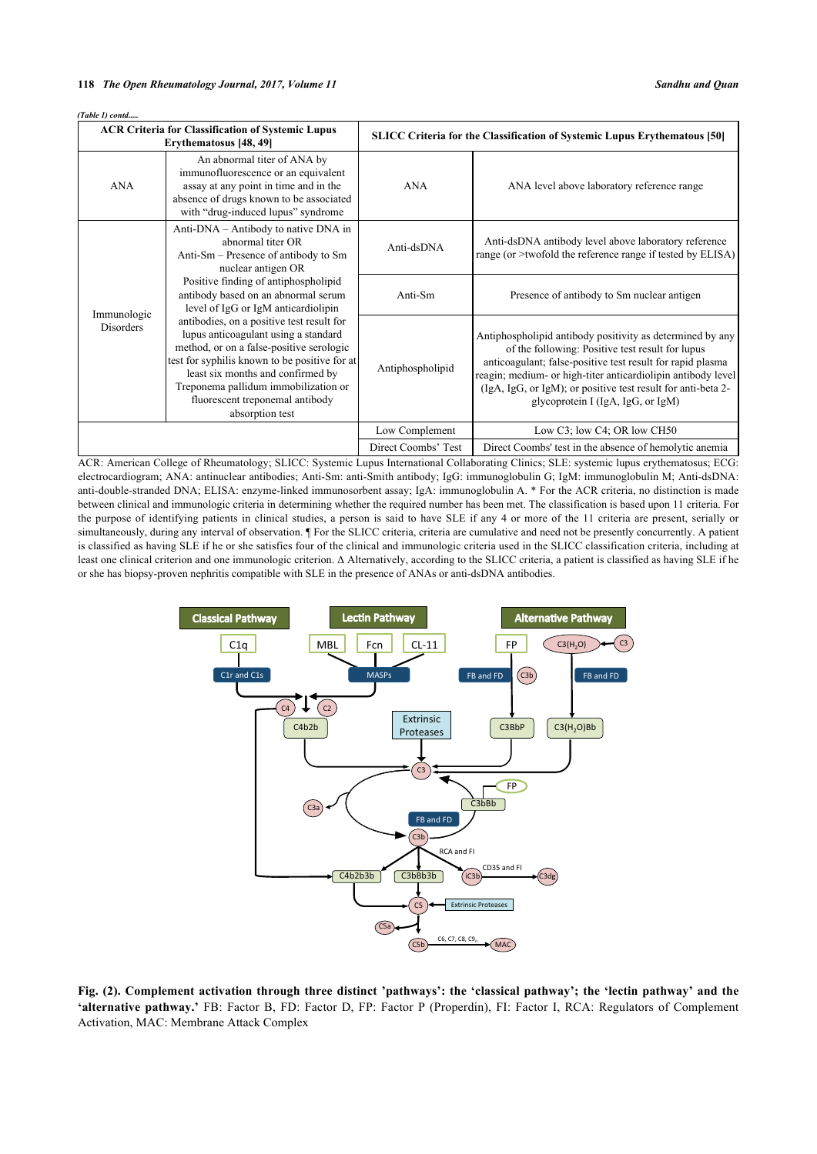*(Table 1) contd.....*

| <b>ACR Criteria for Classification of Systemic Lupus</b><br>Erythematosus [48, 49] |                                                                                                                                                                                                                                                                                                                                                                                                                                                                                                                                                                    | <b>SLICC Criteria for the Classification of Systemic Lupus Erythematous [50]</b> |                                                                                                                                                                                                                                                                                                                                                  |
|------------------------------------------------------------------------------------|--------------------------------------------------------------------------------------------------------------------------------------------------------------------------------------------------------------------------------------------------------------------------------------------------------------------------------------------------------------------------------------------------------------------------------------------------------------------------------------------------------------------------------------------------------------------|----------------------------------------------------------------------------------|--------------------------------------------------------------------------------------------------------------------------------------------------------------------------------------------------------------------------------------------------------------------------------------------------------------------------------------------------|
| <b>ANA</b>                                                                         | An abnormal titer of ANA by<br>immunofluorescence or an equivalent<br>assay at any point in time and in the<br>absence of drugs known to be associated<br>with "drug-induced lupus" syndrome                                                                                                                                                                                                                                                                                                                                                                       | <b>ANA</b>                                                                       | ANA level above laboratory reference range                                                                                                                                                                                                                                                                                                       |
| Immunologic<br>Disorders                                                           | Anti-DNA – Antibody to native DNA in<br>abnormal titer OR<br>Anti-Sm – Presence of antibody to Sm<br>nuclear antigen OR<br>Positive finding of antiphospholipid<br>antibody based on an abnormal serum<br>level of IgG or IgM anticardiolipin<br>antibodies, on a positive test result for<br>lupus anticoagulant using a standard<br>method, or on a false-positive serologic<br>test for syphilis known to be positive for at<br>least six months and confirmed by<br>Treponema pallidum immobilization or<br>fluorescent treponemal antibody<br>absorption test | Anti-dsDNA                                                                       | Anti-dsDNA antibody level above laboratory reference<br>range (or $\geq$ twofold the reference range if tested by ELISA)                                                                                                                                                                                                                         |
|                                                                                    |                                                                                                                                                                                                                                                                                                                                                                                                                                                                                                                                                                    | Anti-Sm                                                                          | Presence of antibody to Sm nuclear antigen                                                                                                                                                                                                                                                                                                       |
|                                                                                    |                                                                                                                                                                                                                                                                                                                                                                                                                                                                                                                                                                    | Antiphospholipid                                                                 | Antiphospholipid antibody positivity as determined by any<br>of the following: Positive test result for lupus<br>anticoagulant; false-positive test result for rapid plasma<br>reagin; medium- or high-titer anticardiolipin antibody level<br>(IgA, IgG, or IgM); or positive test result for anti-beta 2-<br>glycoprotein I (IgA, IgG, or IgM) |
|                                                                                    |                                                                                                                                                                                                                                                                                                                                                                                                                                                                                                                                                                    | Low Complement                                                                   | Low C3; low C4; OR low CH50                                                                                                                                                                                                                                                                                                                      |
|                                                                                    |                                                                                                                                                                                                                                                                                                                                                                                                                                                                                                                                                                    | Direct Coombs' Test                                                              | Direct Coombs' test in the absence of hemolytic anemia                                                                                                                                                                                                                                                                                           |

ACR: American College of Rheumatology; SLICC: Systemic Lupus International Collaborating Clinics; SLE: systemic lupus erythematosus; ECG: electrocardiogram; ANA: antinuclear antibodies; Anti-Sm: anti-Smith antibody; IgG: immunoglobulin G; IgM: immunoglobulin M; Anti-dsDNA: anti-double-stranded DNA; ELISA: enzyme-linked immunosorbent assay; IgA: immunoglobulin A. \* For the ACR criteria, no distinction is made between clinical and immunologic criteria in determining whether the required number has been met. The classification is based upon 11 criteria. For the purpose of identifying patients in clinical studies, a person is said to have SLE if any 4 or more of the 11 criteria are present, serially or simultaneously, during any interval of observation. ¶ For the SLICC criteria, criteria are cumulative and need not be presently concurrently. A patient is classified as having SLE if he or she satisfies four of the clinical and immunologic criteria used in the SLICC classification criteria, including at least one clinical criterion and one immunologic criterion. Δ Alternatively, according to the SLICC criteria, a patient is classified as having SLE if he or she has biopsy-proven nephritis compatible with SLE in the presence of ANAs or anti-dsDNA antibodies.

<span id="page-5-0"></span>

**Fig. (2). Complement activation through three distinct 'pathways': the 'classical pathway'; the 'lectin pathway' and the 'alternative pathway.'** FB: Factor B, FD: Factor D, FP: Factor P (Properdin), FI: Factor I, RCA: Regulators of Complement Activation, MAC: Membrane Attack Complex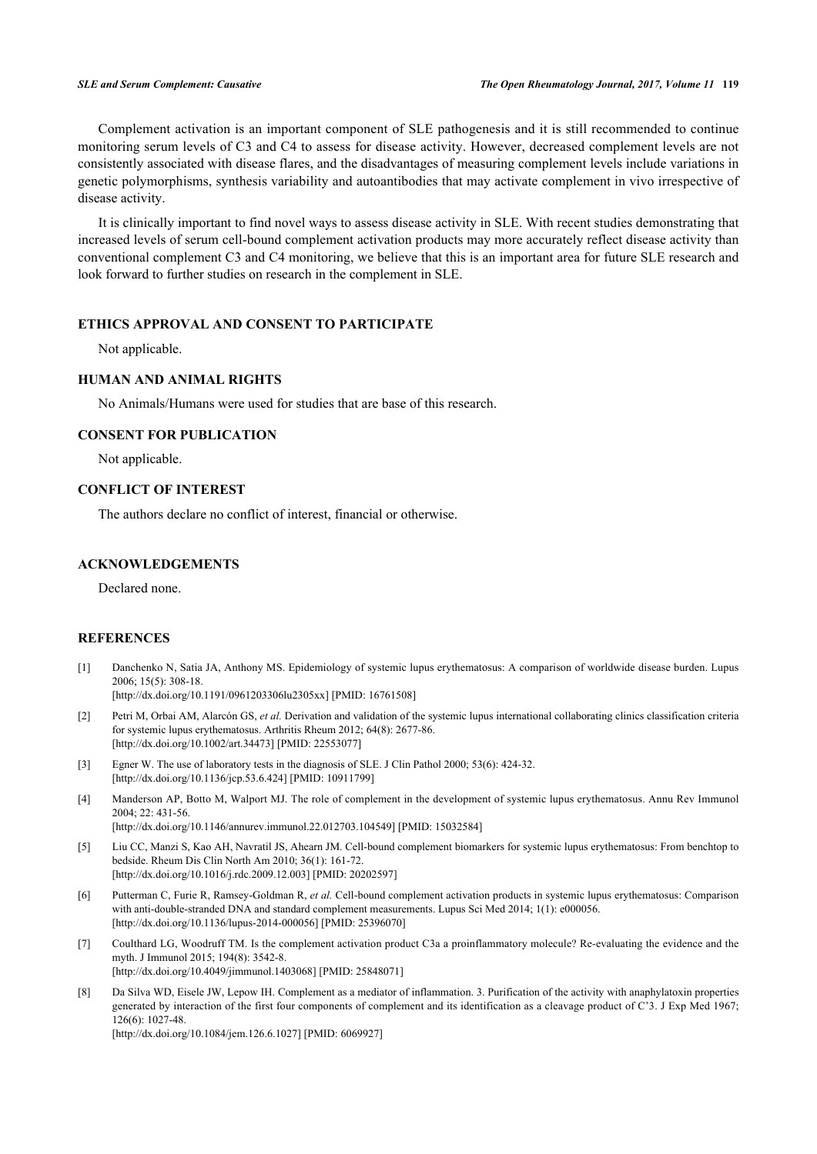Complement activation is an important component of SLE pathogenesis and it is still recommended to continue monitoring serum levels of C3 and C4 to assess for disease activity. However, decreased complement levels are not consistently associated with disease flares, and the disadvantages of measuring complement levels include variations in genetic polymorphisms, synthesis variability and autoantibodies that may activate complement in vivo irrespective of disease activity.

It is clinically important to find novel ways to assess disease activity in SLE. With recent studies demonstrating that increased levels of serum cell-bound complement activation products may more accurately reflect disease activity than conventional complement C3 and C4 monitoring, we believe that this is an important area for future SLE research and look forward to further studies on research in the complement in SLE.

# **ETHICS APPROVAL AND CONSENT TO PARTICIPATE**

Not applicable.

# **HUMAN AND ANIMAL RIGHTS**

No Animals/Humans were used for studies that are base of this research.

# **CONSENT FOR PUBLICATION**

Not applicable.

# **CONFLICT OF INTEREST**

The authors declare no conflict of interest, financial or otherwise.

# **ACKNOWLEDGEMENTS**

Declared none.

# **REFERENCES**

- <span id="page-6-0"></span>[1] Danchenko N, Satia JA, Anthony MS. Epidemiology of systemic lupus erythematosus: A comparison of worldwide disease burden. Lupus 2006; 15(5): 308-18.
	- [\[http://dx.doi.org/10.1191/0961203306lu2305xx](http://dx.doi.org/10.1191/0961203306lu2305xx)] [PMID: [16761508\]](http://www.ncbi.nlm.nih.gov/pubmed/16761508)
- <span id="page-6-1"></span>[2] Petri M, Orbai AM, Alarcón GS, *et al.* Derivation and validation of the systemic lupus international collaborating clinics classification criteria for systemic lupus erythematosus. Arthritis Rheum 2012; 64(8): 2677-86. [\[http://dx.doi.org/10.1002/art.34473](http://dx.doi.org/10.1002/art.34473)] [PMID: [22553077\]](http://www.ncbi.nlm.nih.gov/pubmed/22553077)
- <span id="page-6-2"></span>[3] Egner W. The use of laboratory tests in the diagnosis of SLE. J Clin Pathol 2000; 53(6): 424-32. [\[http://dx.doi.org/10.1136/jcp.53.6.424\]](http://dx.doi.org/10.1136/jcp.53.6.424) [PMID: [10911799](http://www.ncbi.nlm.nih.gov/pubmed/10911799)]
- <span id="page-6-3"></span>[4] Manderson AP, Botto M, Walport MJ. The role of complement in the development of systemic lupus erythematosus. Annu Rev Immunol 2004; 22: 431-56.

[\[http://dx.doi.org/10.1146/annurev.immunol.22.012703.104549](http://dx.doi.org/10.1146/annurev.immunol.22.012703.104549)] [PMID: [15032584](http://www.ncbi.nlm.nih.gov/pubmed/15032584)]

- <span id="page-6-4"></span>[5] Liu CC, Manzi S, Kao AH, Navratil JS, Ahearn JM. Cell-bound complement biomarkers for systemic lupus erythematosus: From benchtop to bedside. Rheum Dis Clin North Am 2010; 36(1): 161-72. [\[http://dx.doi.org/10.1016/j.rdc.2009.12.003](http://dx.doi.org/10.1016/j.rdc.2009.12.003)] [PMID: [20202597\]](http://www.ncbi.nlm.nih.gov/pubmed/20202597)
- <span id="page-6-5"></span>[6] Putterman C, Furie R, Ramsey-Goldman R, *et al.* Cell-bound complement activation products in systemic lupus erythematosus: Comparison with anti-double-stranded DNA and standard complement measurements. Lupus Sci Med 2014; 1(1): e000056. [\[http://dx.doi.org/10.1136/lupus-2014-000056](http://dx.doi.org/10.1136/lupus-2014-000056)] [PMID: [25396070](http://www.ncbi.nlm.nih.gov/pubmed/25396070)]
- <span id="page-6-6"></span>[7] Coulthard LG, Woodruff TM. Is the complement activation product C3a a proinflammatory molecule? Re-evaluating the evidence and the myth. J Immunol 2015; 194(8): 3542-8. [\[http://dx.doi.org/10.4049/jimmunol.1403068\]](http://dx.doi.org/10.4049/jimmunol.1403068) [PMID: [25848071](http://www.ncbi.nlm.nih.gov/pubmed/25848071)]
- [8] Da Silva WD, Eisele JW, Lepow IH. Complement as a mediator of inflammation. 3. Purification of the activity with anaphylatoxin properties generated by interaction of the first four components of complement and its identification as a cleavage product of C'3. J Exp Med 1967; 126(6): 1027-48.

[\[http://dx.doi.org/10.1084/jem.126.6.1027\]](http://dx.doi.org/10.1084/jem.126.6.1027) [PMID: [6069927](http://www.ncbi.nlm.nih.gov/pubmed/6069927)]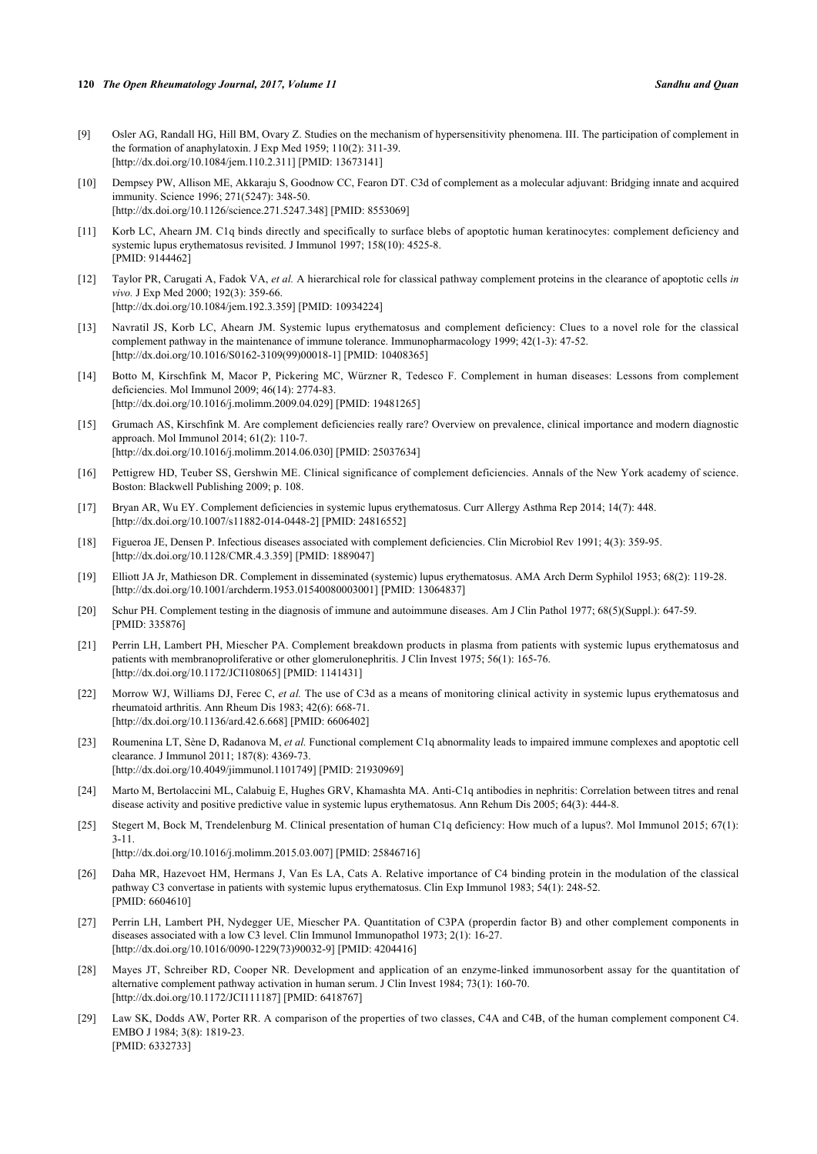- <span id="page-7-0"></span>[9] Osler AG, Randall HG, Hill BM, Ovary Z. Studies on the mechanism of hypersensitivity phenomena. III. The participation of complement in the formation of anaphylatoxin. J Exp Med 1959; 110(2): 311-39. [\[http://dx.doi.org/10.1084/jem.110.2.311\]](http://dx.doi.org/10.1084/jem.110.2.311) [PMID: [13673141](http://www.ncbi.nlm.nih.gov/pubmed/13673141)]
- <span id="page-7-1"></span>[10] Dempsey PW, Allison ME, Akkaraju S, Goodnow CC, Fearon DT. C3d of complement as a molecular adjuvant: Bridging innate and acquired immunity. Science 1996; 271(5247): 348-50. [\[http://dx.doi.org/10.1126/science.271.5247.348](http://dx.doi.org/10.1126/science.271.5247.348)] [PMID: [8553069\]](http://www.ncbi.nlm.nih.gov/pubmed/8553069)
- <span id="page-7-2"></span>[11] Korb LC, Ahearn JM. C1q binds directly and specifically to surface blebs of apoptotic human keratinocytes: complement deficiency and systemic lupus erythematosus revisited. J Immunol 1997; 158(10): 4525-8. [PMID: [9144462\]](http://www.ncbi.nlm.nih.gov/pubmed/9144462)
- [12] Taylor PR, Carugati A, Fadok VA, *et al.* A hierarchical role for classical pathway complement proteins in the clearance of apoptotic cells *in vivo.* J Exp Med 2000; 192(3): 359-66. [\[http://dx.doi.org/10.1084/jem.192.3.359\]](http://dx.doi.org/10.1084/jem.192.3.359) [PMID: [10934224](http://www.ncbi.nlm.nih.gov/pubmed/10934224)]
- <span id="page-7-3"></span>[13] Navratil JS, Korb LC, Ahearn JM. Systemic lupus erythematosus and complement deficiency: Clues to a novel role for the classical complement pathway in the maintenance of immune tolerance. Immunopharmacology 1999; 42(1-3): 47-52. [\[http://dx.doi.org/10.1016/S0162-3109\(99\)00018-1\]](http://dx.doi.org/10.1016/S0162-3109(99)00018-1) [PMID: [10408365](http://www.ncbi.nlm.nih.gov/pubmed/10408365)]
- <span id="page-7-4"></span>[14] Botto M, Kirschfink M, Macor P, Pickering MC, Würzner R, Tedesco F. Complement in human diseases: Lessons from complement deficiencies. Mol Immunol 2009; 46(14): 2774-83. [\[http://dx.doi.org/10.1016/j.molimm.2009.04.029](http://dx.doi.org/10.1016/j.molimm.2009.04.029)] [PMID: [19481265\]](http://www.ncbi.nlm.nih.gov/pubmed/19481265)
- [15] Grumach AS, Kirschfink M. Are complement deficiencies really rare? Overview on prevalence, clinical importance and modern diagnostic approach. Mol Immunol 2014; 61(2): 110-7. [\[http://dx.doi.org/10.1016/j.molimm.2014.06.030](http://dx.doi.org/10.1016/j.molimm.2014.06.030)] [PMID: [25037634\]](http://www.ncbi.nlm.nih.gov/pubmed/25037634)
- <span id="page-7-5"></span>[16] Pettigrew HD, Teuber SS, Gershwin ME. Clinical significance of complement deficiencies. Annals of the New York academy of science. Boston: Blackwell Publishing 2009; p. 108.
- <span id="page-7-6"></span>[17] Bryan AR, Wu EY. Complement deficiencies in systemic lupus erythematosus. Curr Allergy Asthma Rep 2014; 14(7): 448. [\[http://dx.doi.org/10.1007/s11882-014-0448-2\]](http://dx.doi.org/10.1007/s11882-014-0448-2) [PMID: [24816552](http://www.ncbi.nlm.nih.gov/pubmed/24816552)]
- <span id="page-7-8"></span>[18] Figueroa JE, Densen P. Infectious diseases associated with complement deficiencies. Clin Microbiol Rev 1991; 4(3): 359-95. [\[http://dx.doi.org/10.1128/CMR.4.3.359\]](http://dx.doi.org/10.1128/CMR.4.3.359) [PMID: [1889047](http://www.ncbi.nlm.nih.gov/pubmed/1889047)]
- <span id="page-7-7"></span>[19] Elliott JA Jr, Mathieson DR. Complement in disseminated (systemic) lupus erythematosus. AMA Arch Derm Syphilol 1953; 68(2): 119-28. [\[http://dx.doi.org/10.1001/archderm.1953.01540080003001](http://dx.doi.org/10.1001/archderm.1953.01540080003001)] [PMID: [13064837\]](http://www.ncbi.nlm.nih.gov/pubmed/13064837)
- <span id="page-7-9"></span>[20] Schur PH. Complement testing in the diagnosis of immune and autoimmune diseases. Am J Clin Pathol 1977; 68(5)(Suppl.): 647-59. [PMID: [335876\]](http://www.ncbi.nlm.nih.gov/pubmed/335876)
- <span id="page-7-10"></span>[21] Perrin LH, Lambert PH, Miescher PA. Complement breakdown products in plasma from patients with systemic lupus erythematosus and patients with membranoproliferative or other glomerulonephritis. J Clin Invest 1975; 56(1): 165-76. [\[http://dx.doi.org/10.1172/JCI108065\]](http://dx.doi.org/10.1172/JCI108065) [PMID: [1141431](http://www.ncbi.nlm.nih.gov/pubmed/1141431)]
- <span id="page-7-11"></span>[22] Morrow WJ, Williams DJ, Ferec C, et al. The use of C3d as a means of monitoring clinical activity in systemic lupus erythematosus and rheumatoid arthritis. Ann Rheum Dis 1983; 42(6): 668-71. [\[http://dx.doi.org/10.1136/ard.42.6.668](http://dx.doi.org/10.1136/ard.42.6.668)] [PMID: [6606402\]](http://www.ncbi.nlm.nih.gov/pubmed/6606402)
- <span id="page-7-12"></span>[23] Roumenina LT, Sène D, Radanova M, *et al.* Functional complement C1q abnormality leads to impaired immune complexes and apoptotic cell clearance. J Immunol 2011; 187(8): 4369-73. [\[http://dx.doi.org/10.4049/jimmunol.1101749\]](http://dx.doi.org/10.4049/jimmunol.1101749) [PMID: [21930969](http://www.ncbi.nlm.nih.gov/pubmed/21930969)]
- <span id="page-7-13"></span>[24] Marto M, Bertolaccini ML, Calabuig E, Hughes GRV, Khamashta MA. Anti-C1q antibodies in nephritis: Correlation between titres and renal disease activity and positive predictive value in systemic lupus erythematosus. Ann Rehum Dis 2005; 64(3): 444-8.
- <span id="page-7-14"></span>[25] Stegert M, Bock M, Trendelenburg M. Clinical presentation of human C1q deficiency: How much of a lupus?. Mol Immunol 2015; 67(1): 3-11.
	- [\[http://dx.doi.org/10.1016/j.molimm.2015.03.007](http://dx.doi.org/10.1016/j.molimm.2015.03.007)] [PMID: [25846716\]](http://www.ncbi.nlm.nih.gov/pubmed/25846716)
- <span id="page-7-15"></span>[26] Daha MR, Hazevoet HM, Hermans J, Van Es LA, Cats A. Relative importance of C4 binding protein in the modulation of the classical pathway C3 convertase in patients with systemic lupus erythematosus. Clin Exp Immunol 1983; 54(1): 248-52. [PMID: [6604610\]](http://www.ncbi.nlm.nih.gov/pubmed/6604610)
- <span id="page-7-16"></span>[27] Perrin LH, Lambert PH, Nydegger UE, Miescher PA. Quantitation of C3PA (properdin factor B) and other complement components in diseases associated with a low C3 level. Clin Immunol Immunopathol 1973; 2(1): 16-27. [\[http://dx.doi.org/10.1016/0090-1229\(73\)90032-9](http://dx.doi.org/10.1016/0090-1229(73)90032-9)] [PMID: [4204416](http://www.ncbi.nlm.nih.gov/pubmed/4204416)]
- <span id="page-7-17"></span>[28] Mayes JT, Schreiber RD, Cooper NR. Development and application of an enzyme-linked immunosorbent assay for the quantitation of alternative complement pathway activation in human serum. J Clin Invest 1984; 73(1): 160-70. [\[http://dx.doi.org/10.1172/JCI111187\]](http://dx.doi.org/10.1172/JCI111187) [PMID: [6418767](http://www.ncbi.nlm.nih.gov/pubmed/6418767)]
- <span id="page-7-18"></span>[29] Law SK, Dodds AW, Porter RR. A comparison of the properties of two classes, C4A and C4B, of the human complement component C4. EMBO J 1984; 3(8): 1819-23. [PMID: [6332733\]](http://www.ncbi.nlm.nih.gov/pubmed/6332733)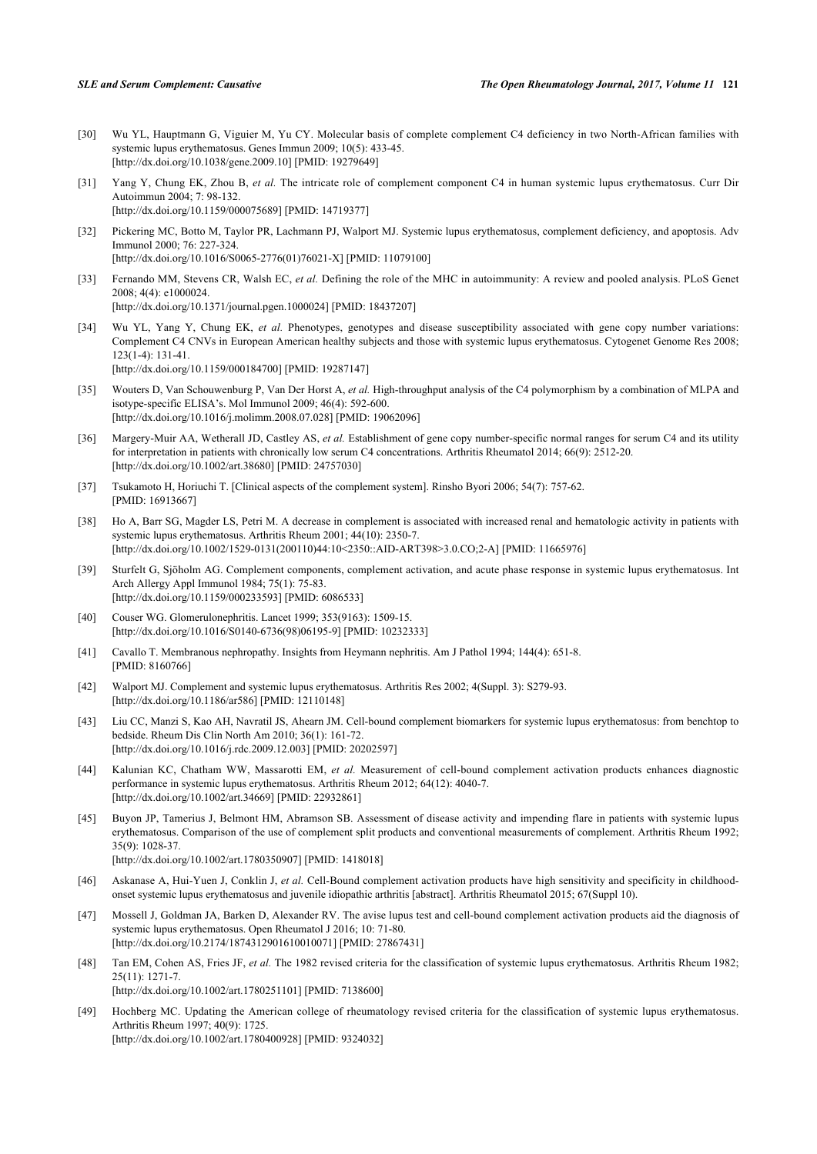- <span id="page-8-0"></span>[30] Wu YL, Hauptmann G, Viguier M, Yu CY. Molecular basis of complete complement C4 deficiency in two North-African families with systemic lupus erythematosus. Genes Immun 2009; 10(5): 433-45. [\[http://dx.doi.org/10.1038/gene.2009.10\]](http://dx.doi.org/10.1038/gene.2009.10) [PMID: [19279649](http://www.ncbi.nlm.nih.gov/pubmed/19279649)]
- [31] Yang Y, Chung EK, Zhou B, *et al.* The intricate role of complement component C4 in human systemic lupus erythematosus. Curr Dir Autoimmun 2004; 7: 98-132. [\[http://dx.doi.org/10.1159/000075689\]](http://dx.doi.org/10.1159/000075689) [PMID: [14719377](http://www.ncbi.nlm.nih.gov/pubmed/14719377)]
- <span id="page-8-1"></span>[32] Pickering MC, Botto M, Taylor PR, Lachmann PJ, Walport MJ. Systemic lupus erythematosus, complement deficiency, and apoptosis. Adv Immunol 2000; 76: 227-324. [\[http://dx.doi.org/10.1016/S0065-2776\(01\)76021-X\]](http://dx.doi.org/10.1016/S0065-2776(01)76021-X) [PMID: [11079100](http://www.ncbi.nlm.nih.gov/pubmed/11079100)]
- <span id="page-8-2"></span>[33] Fernando MM, Stevens CR, Walsh EC, *et al.* Defining the role of the MHC in autoimmunity: A review and pooled analysis. PLoS Genet 2008; 4(4): e1000024. [\[http://dx.doi.org/10.1371/journal.pgen.1000024](http://dx.doi.org/10.1371/journal.pgen.1000024)] [PMID: [18437207\]](http://www.ncbi.nlm.nih.gov/pubmed/18437207)
- <span id="page-8-3"></span>[34] Wu YL, Yang Y, Chung EK, *et al.* Phenotypes, genotypes and disease susceptibility associated with gene copy number variations: Complement C4 CNVs in European American healthy subjects and those with systemic lupus erythematosus. Cytogenet Genome Res 2008;  $123(1-4): 131-41.$ [\[http://dx.doi.org/10.1159/000184700\]](http://dx.doi.org/10.1159/000184700) [PMID: [19287147](http://www.ncbi.nlm.nih.gov/pubmed/19287147)]
- [35] Wouters D, Van Schouwenburg P, Van Der Horst A, *et al.* High-throughput analysis of the C4 polymorphism by a combination of MLPA and isotype-specific ELISA's. Mol Immunol 2009; 46(4): 592-600. [\[http://dx.doi.org/10.1016/j.molimm.2008.07.028](http://dx.doi.org/10.1016/j.molimm.2008.07.028)] [PMID: [19062096\]](http://www.ncbi.nlm.nih.gov/pubmed/19062096)
- <span id="page-8-4"></span>[36] Margery-Muir AA, Wetherall JD, Castley AS, *et al.* Establishment of gene copy number-specific normal ranges for serum C4 and its utility for interpretation in patients with chronically low serum C4 concentrations. Arthritis Rheumatol 2014; 66(9): 2512-20. [\[http://dx.doi.org/10.1002/art.38680](http://dx.doi.org/10.1002/art.38680)] [PMID: [24757030\]](http://www.ncbi.nlm.nih.gov/pubmed/24757030)
- <span id="page-8-5"></span>[37] Tsukamoto H, Horiuchi T. [Clinical aspects of the complement system]. Rinsho Byori 2006; 54(7): 757-62. [PMID: [16913667\]](http://www.ncbi.nlm.nih.gov/pubmed/16913667)
- <span id="page-8-6"></span>[38] Ho A, Barr SG, Magder LS, Petri M. A decrease in complement is associated with increased renal and hematologic activity in patients with systemic lupus erythematosus. Arthritis Rheum 2001; 44(10): 2350-7. [\[http://dx.doi.org/10.1002/1529-0131\(200110\)44:10<2350::AID-ART398>3.0.CO;2-A](http://dx.doi.org/10.1002/1529-0131(200110)44:10<2350::AID-ART398>3.0.CO;2-A)] [PMID: [11665976\]](http://www.ncbi.nlm.nih.gov/pubmed/11665976)
- <span id="page-8-7"></span>[39] Sturfelt G, Sjöholm AG. Complement components, complement activation, and acute phase response in systemic lupus erythematosus. Int Arch Allergy Appl Immunol 1984; 75(1): 75-83. [\[http://dx.doi.org/10.1159/000233593\]](http://dx.doi.org/10.1159/000233593) [PMID: [6086533](http://www.ncbi.nlm.nih.gov/pubmed/6086533)]
- <span id="page-8-8"></span>[40] Couser WG. Glomerulonephritis. Lancet 1999; 353(9163): 1509-15. [\[http://dx.doi.org/10.1016/S0140-6736\(98\)06195-9\]](http://dx.doi.org/10.1016/S0140-6736(98)06195-9) [PMID: [10232333](http://www.ncbi.nlm.nih.gov/pubmed/10232333)]
- <span id="page-8-9"></span>[41] Cavallo T. Membranous nephropathy. Insights from Heymann nephritis. Am J Pathol 1994; 144(4): 651-8. [PMID: [8160766\]](http://www.ncbi.nlm.nih.gov/pubmed/8160766)
- <span id="page-8-10"></span>[42] Walport MJ. Complement and systemic lupus erythematosus. Arthritis Res 2002; 4(Suppl. 3): S279-93. [\[http://dx.doi.org/10.1186/ar586](http://dx.doi.org/10.1186/ar586)] [PMID: [12110148\]](http://www.ncbi.nlm.nih.gov/pubmed/12110148)
- <span id="page-8-11"></span>[43] Liu CC, Manzi S, Kao AH, Navratil JS, Ahearn JM. Cell-bound complement biomarkers for systemic lupus erythematosus: from benchtop to bedside. Rheum Dis Clin North Am 2010; 36(1): 161-72. [\[http://dx.doi.org/10.1016/j.rdc.2009.12.003](http://dx.doi.org/10.1016/j.rdc.2009.12.003)] [PMID: [20202597\]](http://www.ncbi.nlm.nih.gov/pubmed/20202597)
- <span id="page-8-12"></span>[44] Kalunian KC, Chatham WW, Massarotti EM, *et al.* Measurement of cell-bound complement activation products enhances diagnostic performance in systemic lupus erythematosus. Arthritis Rheum 2012; 64(12): 4040-7. [\[http://dx.doi.org/10.1002/art.34669](http://dx.doi.org/10.1002/art.34669)] [PMID: [22932861\]](http://www.ncbi.nlm.nih.gov/pubmed/22932861)
- <span id="page-8-13"></span>[45] Buyon JP, Tamerius J, Belmont HM, Abramson SB. Assessment of disease activity and impending flare in patients with systemic lupus erythematosus. Comparison of the use of complement split products and conventional measurements of complement. Arthritis Rheum 1992; 35(9): 1028-37. [\[http://dx.doi.org/10.1002/art.1780350907](http://dx.doi.org/10.1002/art.1780350907)] [PMID: [1418018\]](http://www.ncbi.nlm.nih.gov/pubmed/1418018)
- <span id="page-8-14"></span>[46] Askanase A, Hui-Yuen J, Conklin J, *et al.* Cell-Bound complement activation products have high sensitivity and specificity in childhoodonset systemic lupus erythematosus and juvenile idiopathic arthritis [abstract]. Arthritis Rheumatol 2015; 67(Suppl 10).
- <span id="page-8-15"></span>[47] Mossell J, Goldman JA, Barken D, Alexander RV. The avise lupus test and cell-bound complement activation products aid the diagnosis of systemic lupus erythematosus. Open Rheumatol J 2016; 10: 71-80. [\[http://dx.doi.org/10.2174/1874312901610010071\]](http://dx.doi.org/10.2174/1874312901610010071) [PMID: [27867431](http://www.ncbi.nlm.nih.gov/pubmed/27867431)]
- <span id="page-8-16"></span>[48] Tan EM, Cohen AS, Fries JF, *et al.* The 1982 revised criteria for the classification of systemic lupus erythematosus. Arthritis Rheum 1982; 25(11): 1271-7. [\[http://dx.doi.org/10.1002/art.1780251101](http://dx.doi.org/10.1002/art.1780251101)] [PMID: [7138600\]](http://www.ncbi.nlm.nih.gov/pubmed/7138600)
- <span id="page-8-17"></span>[49] Hochberg MC. Updating the American college of rheumatology revised criteria for the classification of systemic lupus erythematosus. Arthritis Rheum 1997; 40(9): 1725. [\[http://dx.doi.org/10.1002/art.1780400928](http://dx.doi.org/10.1002/art.1780400928)] [PMID: [9324032\]](http://www.ncbi.nlm.nih.gov/pubmed/9324032)